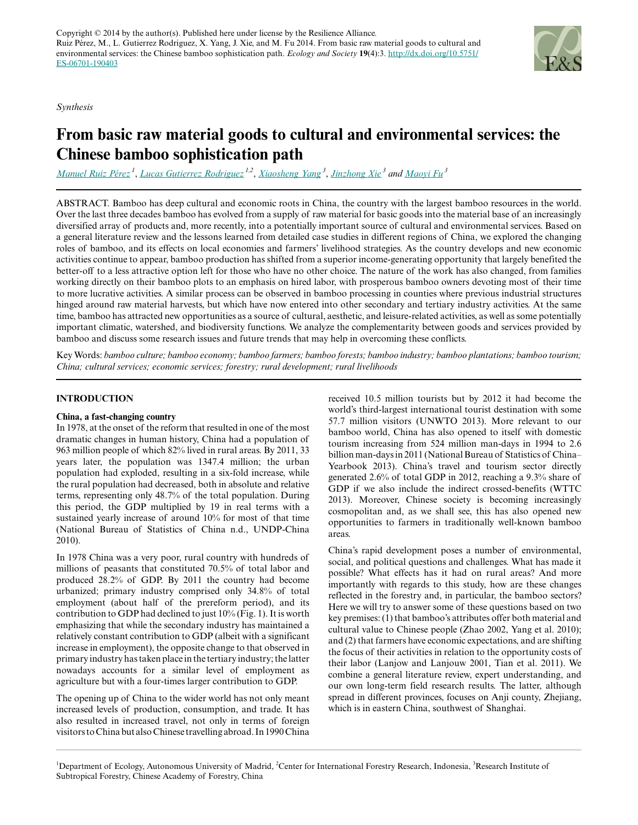*Synthesis*



# **From basic raw material goods to cultural and environmental services: the Chinese bamboo sophistication path**

*Manuel Ruiz Pérez<sup>1</sup>* , *Lucas Gutierrez Rodriguez 1,2* , *Xiaosheng Yang<sup>3</sup>* , *Jinzhong Xie<sup>3</sup> and Maoyi Fu<sup>3</sup>*

ABSTRACT. Bamboo has deep cultural and economic roots in China, the country with the largest bamboo resources in the world. Over the last three decades bamboo has evolved from a supply of raw material for basic goods into the material base of an increasingly diversified array of products and, more recently, into a potentially important source of cultural and environmental services. Based on a general literature review and the lessons learned from detailed case studies in different regions of China, we explored the changing roles of bamboo, and its effects on local economies and farmers' livelihood strategies. As the country develops and new economic activities continue to appear, bamboo production has shifted from a superior income-generating opportunity that largely benefited the better-off to a less attractive option left for those who have no other choice. The nature of the work has also changed, from families working directly on their bamboo plots to an emphasis on hired labor, with prosperous bamboo owners devoting most of their time to more lucrative activities. A similar process can be observed in bamboo processing in counties where previous industrial structures hinged around raw material harvests, but which have now entered into other secondary and tertiary industry activities. At the same time, bamboo has attracted new opportunities as a source of cultural, aesthetic, and leisure-related activities, as well as some potentially important climatic, watershed, and biodiversity functions. We analyze the complementarity between goods and services provided by bamboo and discuss some research issues and future trends that may help in overcoming these conflicts.

Key Words: *bamboo culture; bamboo economy; bamboo farmers; bamboo forests; bamboo industry; bamboo plantations; bamboo tourism; China; cultural services; economic services; forestry; rural development; rural livelihoods*

# **INTRODUCTION**

# **China, a fast-changing country**

In 1978, at the onset of the reform that resulted in one of the most dramatic changes in human history, China had a population of 963 million people of which 82% lived in rural areas. By 2011, 33 years later, the population was 1347.4 million; the urban population had exploded, resulting in a six-fold increase, while the rural population had decreased, both in absolute and relative terms, representing only 48.7% of the total population. During this period, the GDP multiplied by 19 in real terms with a sustained yearly increase of around 10% for most of that time (National Bureau of Statistics of China n.d., UNDP-China 2010).

In 1978 China was a very poor, rural country with hundreds of millions of peasants that constituted 70.5% of total labor and produced 28.2% of GDP. By 2011 the country had become urbanized; primary industry comprised only 34.8% of total employment (about half of the prereform period), and its contribution to GDP had declined to just 10% (Fig. 1). It is worth emphasizing that while the secondary industry has maintained a relatively constant contribution to GDP (albeit with a significant increase in employment), the opposite change to that observed in primary industry has taken place in the tertiary industry; the latter nowadays accounts for a similar level of employment as agriculture but with a four-times larger contribution to GDP.

The opening up of China to the wider world has not only meant increased levels of production, consumption, and trade. It has also resulted in increased travel, not only in terms of foreign visitors to China but also Chinese travelling abroad. In 1990 China

received 10.5 million tourists but by 2012 it had become the world's third-largest international tourist destination with some 57.7 million visitors (UNWTO 2013). More relevant to our bamboo world, China has also opened to itself with domestic tourism increasing from 524 million man-days in 1994 to 2.6 billion man-days in 2011 (National Bureau of Statistics of China– Yearbook 2013). China's travel and tourism sector directly generated 2.6% of total GDP in 2012, reaching a 9.3% share of GDP if we also include the indirect crossed-benefits (WTTC 2013). Moreover, Chinese society is becoming increasingly cosmopolitan and, as we shall see, this has also opened new opportunities to farmers in traditionally well-known bamboo areas.

China's rapid development poses a number of environmental, social, and political questions and challenges. What has made it possible? What effects has it had on rural areas? And more importantly with regards to this study, how are these changes reflected in the forestry and, in particular, the bamboo sectors? Here we will try to answer some of these questions based on two key premises: (1) that bamboo's attributes offer both material and cultural value to Chinese people (Zhao 2002, Yang et al. 2010); and (2) that farmers have economic expectations, and are shifting the focus of their activities in relation to the opportunity costs of their labor (Lanjow and Lanjouw 2001, Tian et al. 2011). We combine a general literature review, expert understanding, and our own long-term field research results. The latter, although spread in different provinces, focuses on Anji county, Zhejiang, which is in eastern China, southwest of Shanghai.

<sup>1</sup>Department of Ecology, Autonomous University of Madrid, <sup>2</sup>Center for International Forestry Research, Indonesia, <sup>3</sup>Research Institute of Subtropical Forestry, Chinese Academy of Forestry, China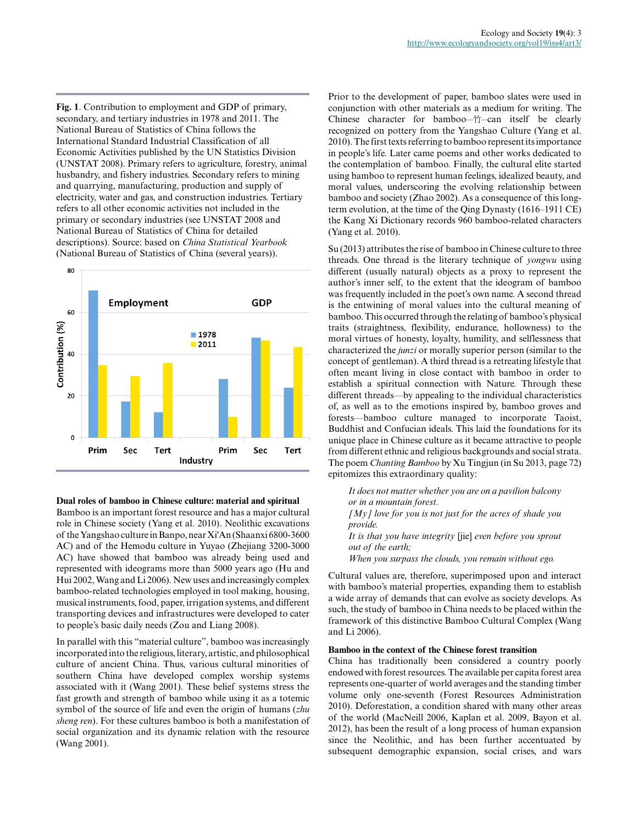**Fig. 1**. Contribution to employment and GDP of primary, secondary, and tertiary industries in 1978 and 2011. The National Bureau of Statistics of China follows the International Standard Industrial Classification of all Economic Activities published by the UN Statistics Division (UNSTAT 2008). Primary refers to agriculture, forestry, animal husbandry, and fishery industries. Secondary refers to mining and quarrying, manufacturing, production and supply of electricity, water and gas, and construction industries. Tertiary refers to all other economic activities not included in the primary or secondary industries (see UNSTAT 2008 and National Bureau of Statistics of China for detailed descriptions). Source: based on *China Statistical Yearbook* (National Bureau of Statistics of China (several years)).



**Dual roles of bamboo in Chinese culture: material and spiritual**

Bamboo is an important forest resource and has a major cultural role in Chinese society (Yang et al. 2010). Neolithic excavations of the Yangshao culture in Banpo, near Xi'An (Shaanxi 6800-3600 AC) and of the Hemodu culture in Yuyao (Zhejiang 3200-3000 AC) have showed that bamboo was already being used and represented with ideograms more than 5000 years ago (Hu and Hui 2002, Wang and Li 2006). New uses and increasingly complex bamboo-related technologies employed in tool making, housing, musical instruments, food, paper, irrigation systems, and different transporting devices and infrastructures were developed to cater to people's basic daily needs (Zou and Liang 2008).

In parallel with this "material culture", bamboo was increasingly incorporated into the religious, literary, artistic, and philosophical culture of ancient China. Thus, various cultural minorities of southern China have developed complex worship systems associated with it (Wang 2001). These belief systems stress the fast growth and strength of bamboo while using it as a totemic symbol of the source of life and even the origin of humans (*zhu sheng ren*). For these cultures bamboo is both a manifestation of social organization and its dynamic relation with the resource (Wang 2001).

Prior to the development of paper, bamboo slates were used in conjunction with other materials as a medium for writing. The Chinese character for bamboo- $\not\!\!\!/\,\,\text{t}$ -can itself be clearly recognized on pottery from the Yangshao Culture (Yang et al. 2010). The first texts referring to bamboo represent its importance in people's life. Later came poems and other works dedicated to the contemplation of bamboo. Finally, the cultural elite started using bamboo to represent human feelings, idealized beauty, and moral values, underscoring the evolving relationship between bamboo and society (Zhao 2002). As a consequence of this longterm evolution, at the time of the Qing Dynasty (1616–1911 CE) the Kang Xi Dictionary records 960 bamboo-related characters (Yang et al. 2010).

Su (2013) attributes the rise of bamboo in Chinese culture to three threads. One thread is the literary technique of *yongwu* using different (usually natural) objects as a proxy to represent the author's inner self, to the extent that the ideogram of bamboo was frequently included in the poet's own name. A second thread is the entwining of moral values into the cultural meaning of bamboo. This occurred through the relating of bamboo's physical traits (straightness, flexibility, endurance, hollowness) to the moral virtues of honesty, loyalty, humility, and selflessness that characterized the *junzi* or morally superior person (similar to the concept of gentleman). A third thread is a retreating lifestyle that often meant living in close contact with bamboo in order to establish a spiritual connection with Nature. Through these different threads—by appealing to the individual characteristics of, as well as to the emotions inspired by, bamboo groves and forests—bamboo culture managed to incorporate Taoist, Buddhist and Confucian ideals. This laid the foundations for its unique place in Chinese culture as it became attractive to people from different ethnic and religious backgrounds and social strata. The poem *Chanting Bamboo* by Xu Tingjun (in Su 2013, page 72) epitomizes this extraordinary quality:

*It does not matter whether you are on a pavilion balcony or in a mountain forest. [My] love for you is not just for the acres of shade you provide. It is that you have integrity* [jie] *even before you sprout out of the earth;*

*When you surpass the clouds, you remain without ego.*

Cultural values are, therefore, superimposed upon and interact with bamboo's material properties, expanding them to establish a wide array of demands that can evolve as society develops. As such, the study of bamboo in China needs to be placed within the framework of this distinctive Bamboo Cultural Complex (Wang and Li 2006).

## **Bamboo in the context of the Chinese forest transition**

China has traditionally been considered a country poorly endowed with forest resources. The available per capita forest area represents one-quarter of world averages and the standing timber volume only one-seventh (Forest Resources Administration 2010). Deforestation, a condition shared with many other areas of the world (MacNeill 2006, Kaplan et al. 2009, Bayon et al. 2012), has been the result of a long process of human expansion since the Neolithic, and has been further accentuated by subsequent demographic expansion, social crises, and wars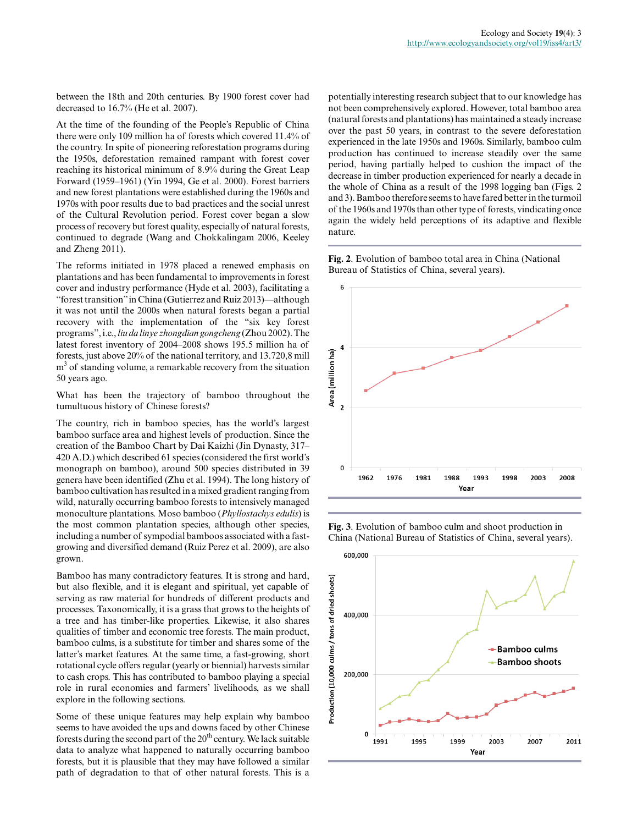between the 18th and 20th centuries. By 1900 forest cover had decreased to 16.7% (He et al. 2007).

At the time of the founding of the People's Republic of China there were only 109 million ha of forests which covered 11.4% of the country. In spite of pioneering reforestation programs during the 1950s, deforestation remained rampant with forest cover reaching its historical minimum of 8.9% during the Great Leap Forward (1959–1961) (Yin 1994, Ge et al. 2000). Forest barriers and new forest plantations were established during the 1960s and 1970s with poor results due to bad practices and the social unrest of the Cultural Revolution period. Forest cover began a slow process of recovery but forest quality, especially of natural forests, continued to degrade (Wang and Chokkalingam 2006, Keeley and Zheng 2011).

The reforms initiated in 1978 placed a renewed emphasis on plantations and has been fundamental to improvements in forest cover and industry performance (Hyde et al. 2003), facilitating a "forest transition" in China (Gutierrez and Ruiz 2013)—although it was not until the 2000s when natural forests began a partial recovery with the implementation of the "six key forest programs", i.e., *liu da linye zhongdian gongcheng* (Zhou 2002). The latest forest inventory of 2004–2008 shows 195.5 million ha of forests, just above 20% of the national territory, and 13.720,8 mill m<sup>3</sup> of standing volume, a remarkable recovery from the situation 50 years ago.

What has been the trajectory of bamboo throughout the tumultuous history of Chinese forests?

The country, rich in bamboo species, has the world's largest bamboo surface area and highest levels of production. Since the creation of the Bamboo Chart by Dai Kaizhi (Jin Dynasty, 317– 420 A.D.) which described 61 species (considered the first world's monograph on bamboo), around 500 species distributed in 39 genera have been identified (Zhu et al. 1994). The long history of bamboo cultivation has resulted in a mixed gradient ranging from wild, naturally occurring bamboo forests to intensively managed monoculture plantations. Moso bamboo (*Phyllostachys edulis*) is the most common plantation species, although other species, including a number of sympodial bamboos associated with a fastgrowing and diversified demand (Ruiz Perez et al. 2009), are also grown.

Bamboo has many contradictory features. It is strong and hard, but also flexible, and it is elegant and spiritual, yet capable of serving as raw material for hundreds of different products and processes. Taxonomically, it is a grass that grows to the heights of a tree and has timber-like properties. Likewise, it also shares qualities of timber and economic tree forests. The main product, bamboo culms, is a substitute for timber and shares some of the latter's market features. At the same time, a fast-growing, short rotational cycle offers regular (yearly or biennial) harvests similar to cash crops. This has contributed to bamboo playing a special role in rural economies and farmers' livelihoods, as we shall explore in the following sections.

Some of these unique features may help explain why bamboo seems to have avoided the ups and downs faced by other Chinese forests during the second part of the  $20<sup>th</sup>$  century. We lack suitable data to analyze what happened to naturally occurring bamboo forests, but it is plausible that they may have followed a similar path of degradation to that of other natural forests. This is a potentially interesting research subject that to our knowledge has not been comprehensively explored. However, total bamboo area (natural forests and plantations) has maintained a steady increase over the past 50 years, in contrast to the severe deforestation experienced in the late 1950s and 1960s. Similarly, bamboo culm production has continued to increase steadily over the same period, having partially helped to cushion the impact of the decrease in timber production experienced for nearly a decade in the whole of China as a result of the 1998 logging ban (Figs. 2 and 3). Bamboo therefore seems to have fared better in the turmoil of the 1960s and 1970s than other type of forests, vindicating once again the widely held perceptions of its adaptive and flexible nature.





**Fig. 3**. Evolution of bamboo culm and shoot production in China (National Bureau of Statistics of China, several years).

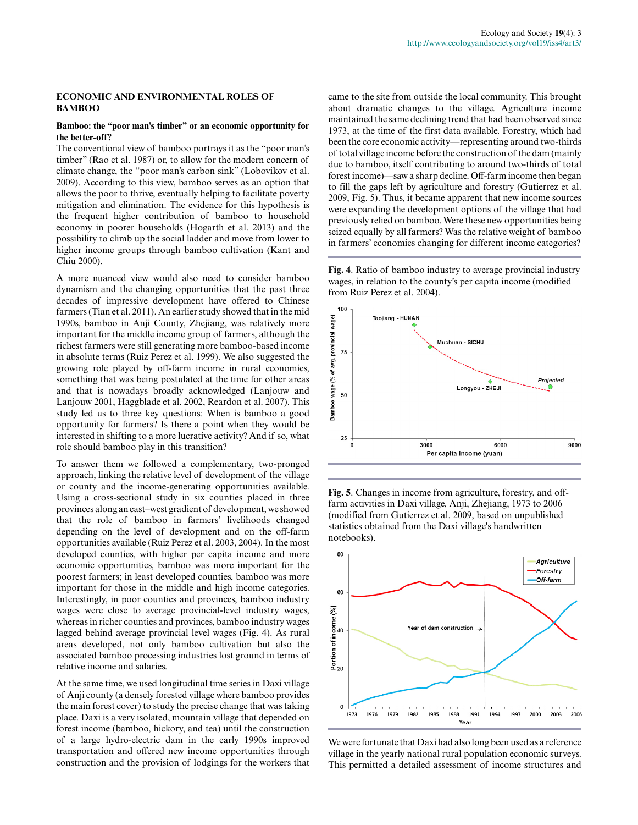#### **ECONOMIC AND ENVIRONMENTAL ROLES OF BAMBOO**

#### **Bamboo: the "poor man's timber" or an economic opportunity for the better-off?**

The conventional view of bamboo portrays it as the "poor man's timber" (Rao et al. 1987) or, to allow for the modern concern of climate change, the "poor man's carbon sink" (Lobovikov et al. 2009). According to this view, bamboo serves as an option that allows the poor to thrive, eventually helping to facilitate poverty mitigation and elimination. The evidence for this hypothesis is the frequent higher contribution of bamboo to household economy in poorer households (Hogarth et al. 2013) and the possibility to climb up the social ladder and move from lower to higher income groups through bamboo cultivation (Kant and Chiu 2000).

A more nuanced view would also need to consider bamboo dynamism and the changing opportunities that the past three decades of impressive development have offered to Chinese farmers (Tian et al. 2011). An earlier study showed that in the mid 1990s, bamboo in Anji County, Zhejiang, was relatively more important for the middle income group of farmers, although the richest farmers were still generating more bamboo-based income in absolute terms (Ruiz Perez et al. 1999). We also suggested the growing role played by off-farm income in rural economies, something that was being postulated at the time for other areas and that is nowadays broadly acknowledged (Lanjouw and Lanjouw 2001, Haggblade et al. 2002, Reardon et al. 2007). This study led us to three key questions: When is bamboo a good opportunity for farmers? Is there a point when they would be interested in shifting to a more lucrative activity? And if so, what role should bamboo play in this transition?

To answer them we followed a complementary, two-pronged approach, linking the relative level of development of the village or county and the income-generating opportunities available. Using a cross-sectional study in six counties placed in three provinces along an east–west gradient of development, we showed that the role of bamboo in farmers' livelihoods changed depending on the level of development and on the off-farm opportunities available (Ruiz Perez et al. 2003, 2004). In the most developed counties, with higher per capita income and more economic opportunities, bamboo was more important for the poorest farmers; in least developed counties, bamboo was more important for those in the middle and high income categories. Interestingly, in poor counties and provinces, bamboo industry wages were close to average provincial-level industry wages, whereas in richer counties and provinces, bamboo industry wages lagged behind average provincial level wages (Fig. 4). As rural areas developed, not only bamboo cultivation but also the associated bamboo processing industries lost ground in terms of relative income and salaries.

At the same time, we used longitudinal time series in Daxi village of Anji county (a densely forested village where bamboo provides the main forest cover) to study the precise change that was taking place. Daxi is a very isolated, mountain village that depended on forest income (bamboo, hickory, and tea) until the construction of a large hydro-electric dam in the early 1990s improved transportation and offered new income opportunities through construction and the provision of lodgings for the workers that came to the site from outside the local community. This brought about dramatic changes to the village. Agriculture income maintained the same declining trend that had been observed since 1973, at the time of the first data available. Forestry, which had been the core economic activity—representing around two-thirds of total village income before the construction of the dam (mainly due to bamboo, itself contributing to around two-thirds of total forest income)—saw a sharp decline. Off-farm income then began to fill the gaps left by agriculture and forestry (Gutierrez et al. 2009, Fig. 5). Thus, it became apparent that new income sources were expanding the development options of the village that had previously relied on bamboo. Were these new opportunities being seized equally by all farmers? Was the relative weight of bamboo in farmers' economies changing for different income categories?

**Fig. 4**. Ratio of bamboo industry to average provincial industry wages, in relation to the county's per capita income (modified from Ruiz Perez et al. 2004).







We were fortunate that Daxi had also long been used as a reference village in the yearly national rural population economic surveys. This permitted a detailed assessment of income structures and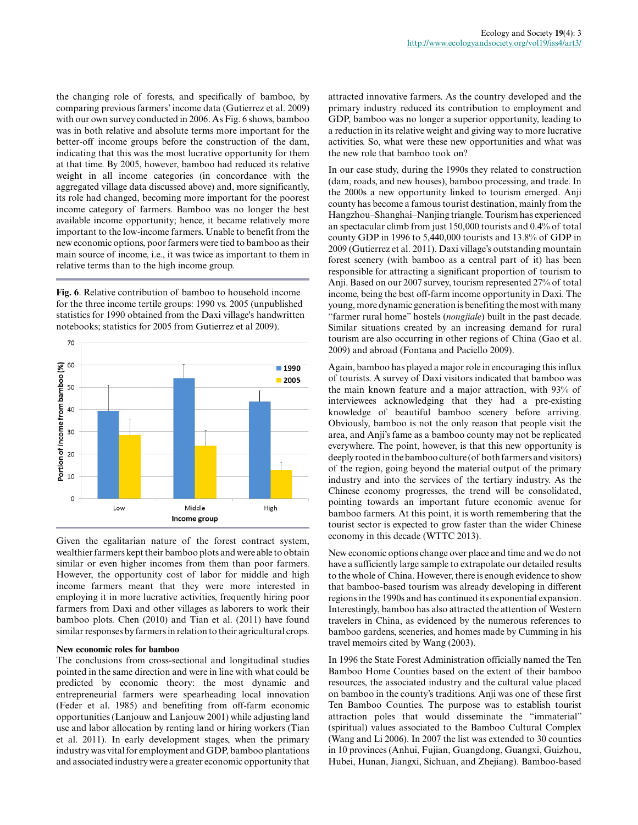the changing role of forests, and specifically of bamboo, by comparing previous farmers' income data (Gutierrez et al. 2009) with our own survey conducted in 2006. As Fig. 6 shows, bamboo was in both relative and absolute terms more important for the better-off income groups before the construction of the dam, indicating that this was the most lucrative opportunity for them at that time. By 2005, however, bamboo had reduced its relative weight in all income categories (in concordance with the aggregated village data discussed above) and, more significantly, its role had changed, becoming more important for the poorest income category of farmers. Bamboo was no longer the best available income opportunity; hence, it became relatively more important to the low-income farmers. Unable to benefit from the new economic options, poor farmers were tied to bamboo as their main source of income, i.e., it was twice as important to them in relative terms than to the high income group.

**Fig. 6**. Relative contribution of bamboo to household income for the three income tertile groups: 1990 vs. 2005 (unpublished statistics for 1990 obtained from the Daxi village's handwritten notebooks; statistics for 2005 from Gutierrez et al 2009).



Given the egalitarian nature of the forest contract system, wealthier farmers kept their bamboo plots and were able to obtain similar or even higher incomes from them than poor farmers. However, the opportunity cost of labor for middle and high income farmers meant that they were more interested in employing it in more lucrative activities, frequently hiring poor farmers from Daxi and other villages as laborers to work their bamboo plots. Chen (2010) and Tian et al. (2011) have found similar responses by farmers in relation to their agricultural crops.

## **New economic roles for bamboo**

The conclusions from cross-sectional and longitudinal studies pointed in the same direction and were in line with what could be predicted by economic theory: the most dynamic and entrepreneurial farmers were spearheading local innovation (Feder et al. 1985) and benefiting from off-farm economic opportunities (Lanjouw and Lanjouw 2001) while adjusting land use and labor allocation by renting land or hiring workers (Tian et al. 2011). In early development stages, when the primary industry was vital for employment and GDP, bamboo plantations and associated industry were a greater economic opportunity that attracted innovative farmers. As the country developed and the primary industry reduced its contribution to employment and GDP, bamboo was no longer a superior opportunity, leading to a reduction in its relative weight and giving way to more lucrative activities. So, what were these new opportunities and what was the new role that bamboo took on?

In our case study, during the 1990s they related to construction (dam, roads, and new houses), bamboo processing, and trade. In the 2000s a new opportunity linked to tourism emerged. Anji county has become a famous tourist destination, mainly from the Hangzhou–Shanghai–Nanjing triangle. Tourism has experienced an spectacular climb from just 150,000 tourists and 0.4% of total county GDP in 1996 to 5,440,000 tourists and 13.8% of GDP in 2009 (Gutierrez et al. 2011). Daxi village's outstanding mountain forest scenery (with bamboo as a central part of it) has been responsible for attracting a significant proportion of tourism to Anji. Based on our 2007 survey, tourism represented 27% of total income, being the best off-farm income opportunity in Daxi. The young, more dynamic generation is benefiting the most with many "farmer rural home" hostels (*nongjiale*) built in the past decade. Similar situations created by an increasing demand for rural tourism are also occurring in other regions of China (Gao et al. 2009) and abroad (Fontana and Paciello 2009).

Again, bamboo has played a major role in encouraging this influx of tourists. A survey of Daxi visitors indicated that bamboo was the main known feature and a major attraction, with 93% of interviewees acknowledging that they had a pre-existing knowledge of beautiful bamboo scenery before arriving. Obviously, bamboo is not the only reason that people visit the area, and Anji's fame as a bamboo county may not be replicated everywhere. The point, however, is that this new opportunity is deeply rooted in the bamboo culture (of both farmers and visitors) of the region, going beyond the material output of the primary industry and into the services of the tertiary industry. As the Chinese economy progresses, the trend will be consolidated, pointing towards an important future economic avenue for bamboo farmers. At this point, it is worth remembering that the tourist sector is expected to grow faster than the wider Chinese economy in this decade (WTTC 2013).

New economic options change over place and time and we do not have a sufficiently large sample to extrapolate our detailed results to the whole of China. However, there is enough evidence to show that bamboo-based tourism was already developing in different regions in the 1990s and has continued its exponential expansion. Interestingly, bamboo has also attracted the attention of Western travelers in China, as evidenced by the numerous references to bamboo gardens, sceneries, and homes made by Cumming in his travel memoirs cited by Wang (2003).

In 1996 the State Forest Administration officially named the Ten Bamboo Home Counties based on the extent of their bamboo resources, the associated industry and the cultural value placed on bamboo in the county's traditions. Anji was one of these first Ten Bamboo Counties. The purpose was to establish tourist attraction poles that would disseminate the "immaterial" (spiritual) values associated to the Bamboo Cultural Complex (Wang and Li 2006). In 2007 the list was extended to 30 counties in 10 provinces (Anhui, Fujian, Guangdong, Guangxi, Guizhou, Hubei, Hunan, Jiangxi, Sichuan, and Zhejiang). Bamboo-based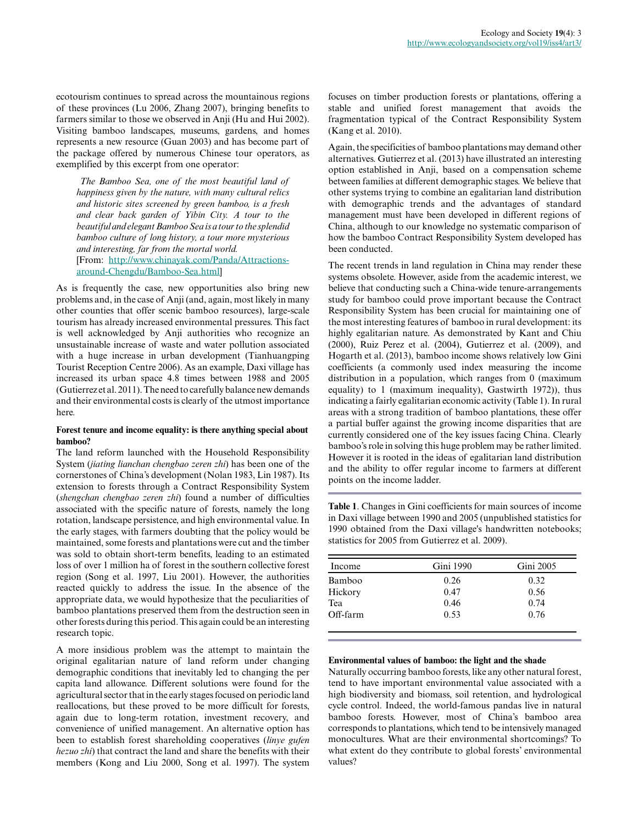ecotourism continues to spread across the mountainous regions of these provinces (Lu 2006, Zhang 2007), bringing benefits to farmers similar to those we observed in Anji (Hu and Hui 2002). Visiting bamboo landscapes, museums, gardens, and homes represents a new resource (Guan 2003) and has become part of the package offered by numerous Chinese tour operators, as exemplified by this excerpt from one operator:

*The Bamboo Sea, one of the most beautiful land of happiness given by the nature, with many cultural relics and historic sites screened by green bamboo, is a fresh and clear back garden of Yibin City. A tour to the beautiful and elegant Bamboo Sea is a tour to the splendid bamboo culture of long history, a tour more mysterious and interesting, far from the mortal world.* [From: http://www.chinayak.com/Panda/Attractionsaround-Chengdu/Bamboo-Sea.html]

As is frequently the case, new opportunities also bring new problems and, in the case of Anji (and, again, most likely in many other counties that offer scenic bamboo resources), large-scale tourism has already increased environmental pressures. This fact is well acknowledged by Anji authorities who recognize an unsustainable increase of waste and water pollution associated with a huge increase in urban development (Tianhuangping Tourist Reception Centre 2006). As an example, Daxi village has increased its urban space 4.8 times between 1988 and 2005 (Gutierrez et al. 2011). The need to carefully balance new demands and their environmental costs is clearly of the utmost importance here.

## **Forest tenure and income equality: is there anything special about bamboo?**

The land reform launched with the Household Responsibility System (*jiating lianchan chengbao zeren zhi*) has been one of the cornerstones of China's development (Nolan 1983, Lin 1987). Its extension to forests through a Contract Responsibility System (*shengchan chengbao zeren zhi*) found a number of difficulties associated with the specific nature of forests, namely the long rotation, landscape persistence, and high environmental value. In the early stages, with farmers doubting that the policy would be maintained, some forests and plantations were cut and the timber was sold to obtain short-term benefits, leading to an estimated loss of over 1 million ha of forest in the southern collective forest region (Song et al. 1997, Liu 2001). However, the authorities reacted quickly to address the issue. In the absence of the appropriate data, we would hypothesize that the peculiarities of bamboo plantations preserved them from the destruction seen in other forests during this period. This again could be an interesting research topic.

A more insidious problem was the attempt to maintain the original egalitarian nature of land reform under changing demographic conditions that inevitably led to changing the per capita land allowance. Different solutions were found for the agricultural sector that in the early stages focused on periodic land reallocations, but these proved to be more difficult for forests, again due to long-term rotation, investment recovery, and convenience of unified management. An alternative option has been to establish forest shareholding cooperatives (*linye gufen hezuo zhi*) that contract the land and share the benefits with their members (Kong and Liu 2000, Song et al. 1997). The system

focuses on timber production forests or plantations, offering a stable and unified forest management that avoids the fragmentation typical of the Contract Responsibility System (Kang et al. 2010).

Again, the specificities of bamboo plantations may demand other alternatives. Gutierrez et al. (2013) have illustrated an interesting option established in Anji, based on a compensation scheme between families at different demographic stages. We believe that other systems trying to combine an egalitarian land distribution with demographic trends and the advantages of standard management must have been developed in different regions of China, although to our knowledge no systematic comparison of how the bamboo Contract Responsibility System developed has been conducted.

The recent trends in land regulation in China may render these systems obsolete. However, aside from the academic interest, we believe that conducting such a China-wide tenure-arrangements study for bamboo could prove important because the Contract Responsibility System has been crucial for maintaining one of the most interesting features of bamboo in rural development: its highly egalitarian nature. As demonstrated by Kant and Chiu (2000), Ruiz Perez et al. (2004), Gutierrez et al. (2009), and Hogarth et al. (2013), bamboo income shows relatively low Gini coefficients (a commonly used index measuring the income distribution in a population, which ranges from 0 (maximum equality) to 1 (maximum inequality), Gastwirth 1972)), thus indicating a fairly egalitarian economic activity (Table 1). In rural areas with a strong tradition of bamboo plantations, these offer a partial buffer against the growing income disparities that are currently considered one of the key issues facing China. Clearly bamboo's role in solving this huge problem may be rather limited. However it is rooted in the ideas of egalitarian land distribution and the ability to offer regular income to farmers at different points on the income ladder.

**Table 1**. Changes in Gini coefficients for main sources of income in Daxi village between 1990 and 2005 (unpublished statistics for 1990 obtained from the Daxi village's handwritten notebooks; statistics for 2005 from Gutierrez et al. 2009).

| Income   | Gini 1990 | Gini 2005 |
|----------|-----------|-----------|
| Bamboo   | 0.26      | 0.32      |
| Hickory  | 0.47      | 0.56      |
| Tea      | 0.46      | 0.74      |
| Off-farm | 0.53      | 0.76      |

#### **Environmental values of bamboo: the light and the shade**

Naturally occurring bamboo forests, like any other natural forest, tend to have important environmental value associated with a high biodiversity and biomass, soil retention, and hydrological cycle control. Indeed, the world-famous pandas live in natural bamboo forests. However, most of China's bamboo area corresponds to plantations, which tend to be intensively managed monocultures. What are their environmental shortcomings? To what extent do they contribute to global forests' environmental values?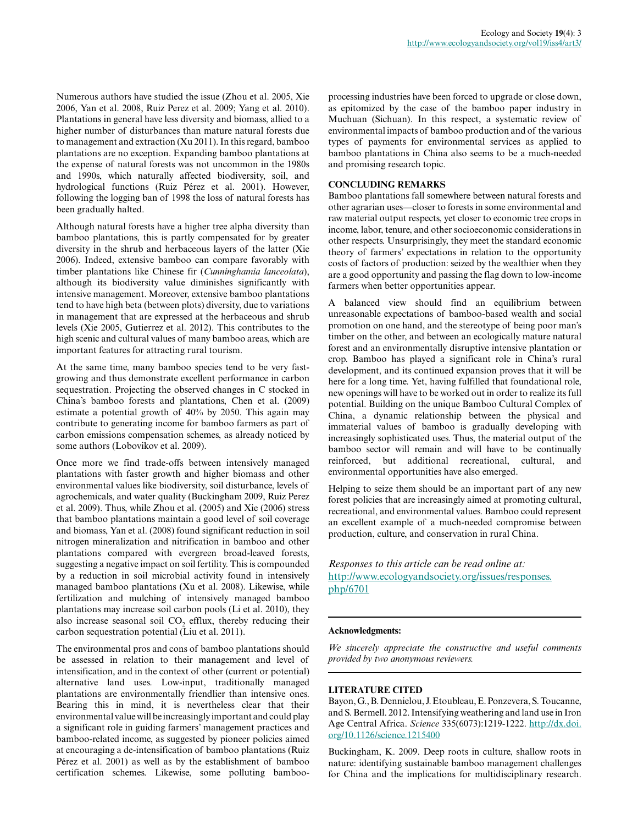Numerous authors have studied the issue (Zhou et al. 2005, Xie 2006, Yan et al. 2008, Ruiz Perez et al. 2009; Yang et al. 2010). Plantations in general have less diversity and biomass, allied to a higher number of disturbances than mature natural forests due to management and extraction (Xu 2011). In this regard, bamboo plantations are no exception. Expanding bamboo plantations at the expense of natural forests was not uncommon in the 1980s and 1990s, which naturally affected biodiversity, soil, and hydrological functions (Ruiz Pérez et al. 2001). However, following the logging ban of 1998 the loss of natural forests has been gradually halted.

Although natural forests have a higher tree alpha diversity than bamboo plantations, this is partly compensated for by greater diversity in the shrub and herbaceous layers of the latter (Xie 2006). Indeed, extensive bamboo can compare favorably with timber plantations like Chinese fir (*Cunninghamia lanceolata*), although its biodiversity value diminishes significantly with intensive management. Moreover, extensive bamboo plantations tend to have high beta (between plots) diversity, due to variations in management that are expressed at the herbaceous and shrub levels (Xie 2005, Gutierrez et al. 2012). This contributes to the high scenic and cultural values of many bamboo areas, which are important features for attracting rural tourism.

At the same time, many bamboo species tend to be very fastgrowing and thus demonstrate excellent performance in carbon sequestration. Projecting the observed changes in C stocked in China's bamboo forests and plantations, Chen et al. (2009) estimate a potential growth of 40% by 2050. This again may contribute to generating income for bamboo farmers as part of carbon emissions compensation schemes, as already noticed by some authors (Lobovikov et al. 2009).

Once more we find trade-offs between intensively managed plantations with faster growth and higher biomass and other environmental values like biodiversity, soil disturbance, levels of agrochemicals, and water quality (Buckingham 2009, Ruiz Perez et al. 2009). Thus, while Zhou et al. (2005) and Xie (2006) stress that bamboo plantations maintain a good level of soil coverage and biomass, Yan et al. (2008) found significant reduction in soil nitrogen mineralization and nitrification in bamboo and other plantations compared with evergreen broad-leaved forests, suggesting a negative impact on soil fertility. This is compounded by a reduction in soil microbial activity found in intensively managed bamboo plantations (Xu et al. 2008). Likewise, while fertilization and mulching of intensively managed bamboo plantations may increase soil carbon pools (Li et al. 2010), they also increase seasonal soil  $CO_2$  efflux, thereby reducing their carbon sequestration potential (Liu et al. 2011).

The environmental pros and cons of bamboo plantations should be assessed in relation to their management and level of intensification, and in the context of other (current or potential) alternative land uses. Low-input, traditionally managed plantations are environmentally friendlier than intensive ones. Bearing this in mind, it is nevertheless clear that their environmental value will be increasingly important and could play a significant role in guiding farmers' management practices and bamboo-related income, as suggested by pioneer policies aimed at encouraging a de-intensification of bamboo plantations (Ruiz Pérez et al. 2001) as well as by the establishment of bamboo certification schemes. Likewise, some polluting bambooprocessing industries have been forced to upgrade or close down, as epitomized by the case of the bamboo paper industry in Muchuan (Sichuan). In this respect, a systematic review of environmental impacts of bamboo production and of the various types of payments for environmental services as applied to bamboo plantations in China also seems to be a much-needed and promising research topic.

# **CONCLUDING REMARKS**

Bamboo plantations fall somewhere between natural forests and other agrarian uses—closer to forests in some environmental and raw material output respects, yet closer to economic tree crops in income, labor, tenure, and other socioeconomic considerations in other respects. Unsurprisingly, they meet the standard economic theory of farmers' expectations in relation to the opportunity costs of factors of production: seized by the wealthier when they are a good opportunity and passing the flag down to low-income farmers when better opportunities appear.

A balanced view should find an equilibrium between unreasonable expectations of bamboo-based wealth and social promotion on one hand, and the stereotype of being poor man's timber on the other, and between an ecologically mature natural forest and an environmentally disruptive intensive plantation or crop. Bamboo has played a significant role in China's rural development, and its continued expansion proves that it will be here for a long time. Yet, having fulfilled that foundational role, new openings will have to be worked out in order to realize its full potential. Building on the unique Bamboo Cultural Complex of China, a dynamic relationship between the physical and immaterial values of bamboo is gradually developing with increasingly sophisticated uses. Thus, the material output of the bamboo sector will remain and will have to be continually reinforced, but additional recreational, cultural, and environmental opportunities have also emerged.

Helping to seize them should be an important part of any new forest policies that are increasingly aimed at promoting cultural, recreational, and environmental values. Bamboo could represent an excellent example of a much-needed compromise between production, culture, and conservation in rural China.

*Responses to this article can be read online at:* http://www.ecologyandsociety.org/issues/responses. php/6701

## **Acknowledgments:**

*We sincerely appreciate the constructive and useful comments provided by two anonymous reviewers.*

## **LITERATURE CITED**

Bayon, G., B. Dennielou, J. Etoubleau, E. Ponzevera, S. Toucanne, and S. Bermell. 2012. Intensifying weathering and land use in Iron Age Central Africa. *Science* 335(6073):1219-1222. http://dx.doi. org/10.1126/science.1215400

Buckingham, K. 2009. Deep roots in culture, shallow roots in nature: identifying sustainable bamboo management challenges for China and the implications for multidisciplinary research.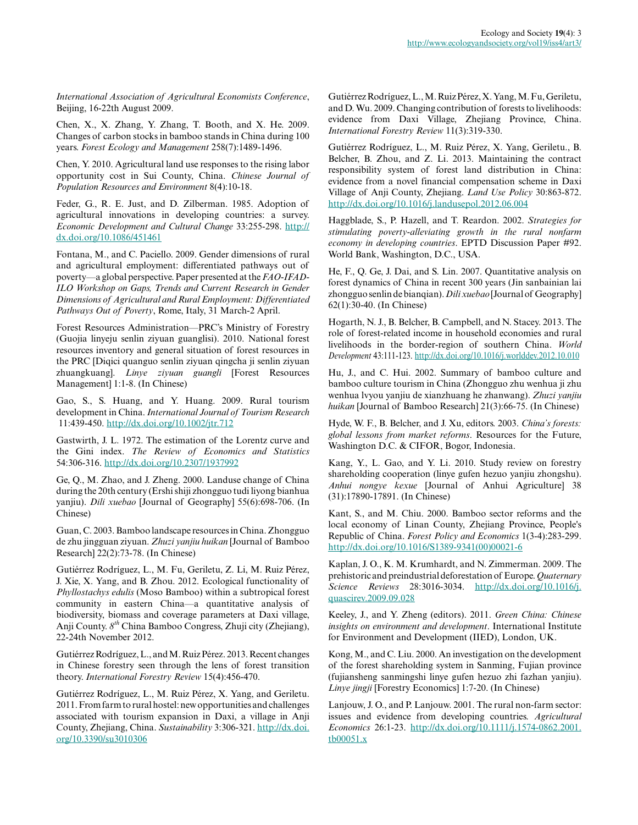*International Association of Agricultural Economists Conference*, Beijing, 16-22th August 2009.

Chen, X., X. Zhang, Y. Zhang, T. Booth, and X. He. 2009. Changes of carbon stocks in bamboo stands in China during 100 years. *Forest Ecology and Management* 258(7):1489-1496.

Chen, Y. 2010. Agricultural land use responses to the rising labor opportunity cost in Sui County, China. *Chinese Journal of Population Resources and Environment* 8(4):10-18.

Feder, G., R. E. Just, and D. Zilberman. 1985. Adoption of agricultural innovations in developing countries: a survey. *Economic Development and Cultural Change* 33:255-298. http:// dx.doi.org/10.1086/451461

Fontana, M., and C. Paciello. 2009. Gender dimensions of rural and agricultural employment: differentiated pathways out of poverty—a global perspective. Paper presented at the *FAO-IFAD-ILO Workshop on Gaps, Trends and Current Research in Gender Dimensions of Agricultural and Rural Employment: Differentiated Pathways Out of Poverty*, Rome, Italy, 31 March-2 April.

Forest Resources Administration—PRC's Ministry of Forestry (Guojia linyeju senlin ziyuan guanglisi). 2010. National forest resources inventory and general situation of forest resources in the PRC [Diqici quanguo senlin ziyuan qingcha ji senlin ziyuan zhuangkuang]. *Linye ziyuan guangli* [Forest Resources Management] 1:1-8. (In Chinese)

Gao, S., S. Huang, and Y. Huang. 2009. Rural tourism development in China. *International Journal of Tourism Research* 11:439-450. http://dx.doi.org/10.1002/jtr.712

Gastwirth, J. L. 1972. The estimation of the Lorentz curve and the Gini index. *The Review of Economics and Statistics* 54:306-316. http://dx.doi.org/10.2307/1937992

Ge, Q., M. Zhao, and J. Zheng. 2000. Landuse change of China during the 20th century (Ershi shiji zhongguo tudi liyong bianhua yanjiu). *Dili xuebao* [Journal of Geography] 55(6):698-706. (In Chinese)

Guan, C. 2003. Bamboo landscape resources in China. Zhongguo de zhu jingguan ziyuan. *Zhuzi yanjiu huikan* [Journal of Bamboo Research] 22(2):73-78. (In Chinese)

Gutiérrez Rodríguez, L., M. Fu, Geriletu, Z. Li, M. Ruiz Pérez, J. Xie, X. Yang, and B. Zhou. 2012. Ecological functionality of *Phyllostachys edulis* (Moso Bamboo) within a subtropical forest community in eastern China—a quantitative analysis of biodiversity, biomass and coverage parameters at Daxi village, Anji County. *8 th* China Bamboo Congress, Zhuji city (Zhejiang), 22-24th November 2012.

Gutiérrez Rodríguez, L., and M. Ruiz Pérez. 2013. Recent changes in Chinese forestry seen through the lens of forest transition theory. *International Forestry Review* 15(4):456-470.

Gutiérrez Rodríguez, L., M. Ruiz Pérez, X. Yang, and Geriletu. 2011. From farm to rural hostel: new opportunities and challenges associated with tourism expansion in Daxi, a village in Anji County, Zhejiang, China. *Sustainability* 3:306-321. http://dx.doi. org/10.3390/su3010306

Gutiérrez Rodríguez, L., M. Ruiz Pérez, X. Yang, M. Fu, Geriletu, and D. Wu. 2009. Changing contribution of forests to livelihoods: evidence from Daxi Village, Zhejiang Province, China. *International Forestry Review* 11(3):319-330.

Gutiérrez Rodríguez, L., M. Ruiz Pérez, X. Yang, Geriletu., B. Belcher, B. Zhou, and Z. Li. 2013. Maintaining the contract responsibility system of forest land distribution in China: evidence from a novel financial compensation scheme in Daxi Village of Anji County, Zhejiang. *Land Use Policy* 30:863-872. http://dx.doi.org/10.1016/j.landusepol.2012.06.004

Haggblade, S., P. Hazell, and T. Reardon. 2002. *Strategies for stimulating poverty-alleviating growth in the rural nonfarm economy in developing countries*. EPTD Discussion Paper #92. World Bank, Washington, D.C., USA.

He, F., Q. Ge, J. Dai, and S. Lin. 2007. Quantitative analysis on forest dynamics of China in recent 300 years (Jin sanbainian lai zhongguo senlin de bianqian). *Dili xuebao* [Journal of Geography] 62(1):30-40. (In Chinese)

Hogarth, N. J., B. Belcher, B. Campbell, and N. Stacey. 2013. The role of forest-related income in household economies and rural livelihoods in the border-region of southern China. *World Development* 43:111-123. http://dx.doi.org/10.1016/j.worlddev.2012.10.010

Hu, J., and C. Hui. 2002. Summary of bamboo culture and bamboo culture tourism in China (Zhongguo zhu wenhua ji zhu wenhua lvyou yanjiu de xianzhuang he zhanwang). *Zhuzi yanjiu huikan* [Journal of Bamboo Research] 21(3):66-75. (In Chinese)

Hyde, W. F., B. Belcher, and J. Xu, editors. 2003. *China's forests: global lessons from market reforms*. Resources for the Future, Washington D.C. & CIFOR, Bogor, Indonesia.

Kang, Y., L. Gao, and Y. Li. 2010. Study review on forestry shareholding cooperation (linye gufen hezuo yanjiu zhongshu). *Anhui nongye kexue* [Journal of Anhui Agriculture] 38 (31):17890-17891. (In Chinese)

Kant, S., and M. Chiu. 2000. Bamboo sector reforms and the local economy of Linan County, Zhejiang Province, People's Republic of China. *Forest Policy and Economics* 1(3-4):283-299. http://dx.doi.org/10.1016/S1389-9341(00)00021-6

Kaplan, J. O., K. M. Krumhardt, and N. Zimmerman. 2009. The prehistoric and preindustrial deforestation of Europe. *Quaternary Science Reviews* 28:3016-3034. http://dx.doi.org/10.1016/j. quascirev.2009.09.028

Keeley, J., and Y. Zheng (editors). 2011. *Green China: Chinese insights on environment and development*. International Institute for Environment and Development (IIED), London, UK.

Kong, M., and C. Liu. 2000. An investigation on the development of the forest shareholding system in Sanming, Fujian province (fujiansheng sanmingshi linye gufen hezuo zhi fazhan yanjiu). *Linye jingji* [Forestry Economics] 1:7-20. (In Chinese)

Lanjouw, J. O., and P. Lanjouw. 2001. The rural non-farm sector: issues and evidence from developing countries. *Agricultural Economics* 26:1-23. http://dx.doi.org/10.1111/j.1574-0862.2001. tb00051.x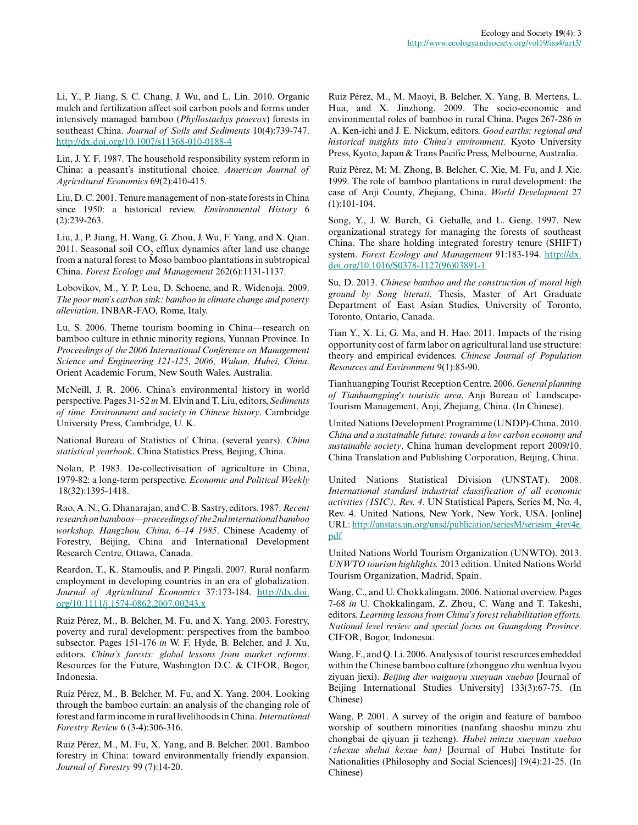Li, Y., P. Jiang, S. C. Chang, J. Wu, and L. Lin. 2010. Organic mulch and fertilization affect soil carbon pools and forms under intensively managed bamboo (*Phyllostachys praecox*) forests in southeast China. *Journal of Soils and Sediments* 10(4):739-747. http://dx.doi.org/10.1007/s11368-010-0188-4

Lin, J. Y. F. 1987. The household responsibility system reform in China: a peasant's institutional choice. *American Journal of Agricultural Economics* 69(2):410-415.

Liu, D. C. 2001. Tenure management of non-state forests in China since 1950: a historical review. *Environmental History* 6 (2):239-263.

Liu, J., P. Jiang, H. Wang, G. Zhou, J. Wu, F. Yang, and X. Qian. 2011. Seasonal soil  $CO_2$  efflux dynamics after land use change from a natural forest to Moso bamboo plantations in subtropical China. *Forest Ecology and Management* 262(6):1131-1137.

Lobovikov, M., Y. P. Lou, D. Schoene, and R. Widenoja. 2009. *The poor man's carbon sink: bamboo in climate change and poverty alleviation*. INBAR-FAO, Rome, Italy.

Lu, S. 2006. Theme tourism booming in China—research on bamboo culture in ethnic minority regions, Yunnan Province. In *Proceedings of the 2006 International Conference on Management Science and Engineering 121-125, 2006, Wuhan, Hubei, China*. Orient Academic Forum, New South Wales, Australia.

McNeill, J. R. 2006. China's environmental history in world perspective. Pages 31-52 *in* M. Elvin and T. Liu, editors, *Sediments of time. Environment and society in Chinese history*. Cambridge University Press, Cambridge, U. K.

National Bureau of Statistics of China. (several years). *China statistical yearbook*. China Statistics Press, Beijing, China.

Nolan, P. 1983. De-collectivisation of agriculture in China, 1979-82: a long-term perspective. *Economic and Political Weekly* 18(32):1395-1418.

Rao, A. N., G. Dhanarajan, and C. B. Sastry, editors. 1987. *Recent research on bamboos—proceedings of the 2nd international bamboo workshop, Hangzhou, China, 6–14 1985*. Chinese Academy of Forestry, Beijing, China and International Development Research Centre, Ottawa, Canada.

Reardon, T., K. Stamoulis, and P. Pingali. 2007. Rural nonfarm employment in developing countries in an era of globalization. *Journal of Agricultural Economics* 37:173-184. http://dx.doi. org/10.1111/j.1574-0862.2007.00243.x

Ruiz Pérez, M., B. Belcher, M. Fu, and X. Yang. 2003. Forestry, poverty and rural development: perspectives from the bamboo subsector. Pages 151-176 *in* W. F. Hyde, B. Belcher, and J. Xu, editors. *China's forests: global lessons from market reforms*. Resources for the Future, Washington D.C. & CIFOR, Bogor, Indonesia.

Ruiz Pérez, M., B. Belcher, M. Fu, and X. Yang. 2004. Looking through the bamboo curtain: an analysis of the changing role of forest and farm income in rural livelihoods in China. *International Forestry Review* 6 (3-4):306-316.

Ruiz Pérez, M., M. Fu, X. Yang, and B. Belcher. 2001. Bamboo forestry in China: toward environmentally friendly expansion. *Journal of Forestry* 99 (7):14-20.

Ruiz Pérez, M., M. Maoyi, B. Belcher, X. Yang, B. Mertens, L. Hua, and X. Jinzhong. 2009. The socio-economic and environmental roles of bamboo in rural China. Pages 267-286 *in* A. Ken-ichi and J. E. Nickum, editors. *Good earths: regional and historical insights into China's environment.* Kyoto University Press, Kyoto, Japan & Trans Pacific Press, Melbourne, Australia.

Ruiz Pérez, M; M. Zhong, B. Belcher, C. Xie, M. Fu, and J. Xie. 1999. The role of bamboo plantations in rural development: the case of Anji County, Zhejiang, China. *World Development* 27 (1):101-104.

Song, Y., J. W. Burch, G. Geballe, and L. Geng. 1997. New organizational strategy for managing the forests of southeast China. The share holding integrated forestry tenure (SHIFT) system. *Forest Ecology and Management* 91:183-194. http://dx. doi.org/10.1016/S0378-1127(96)03891-1

Su, D. 2013. *Chinese bamboo and the construction of moral high ground by Song literati*. Thesis, Master of Art Graduate Department of East Asian Studies, University of Toronto, Toronto, Ontario, Canada.

Tian Y., X. Li, G. Ma, and H. Hao. 2011. Impacts of the rising opportunity cost of farm labor on agricultural land use structure: theory and empirical evidences. *Chinese Journal of Population Resources and Environment* 9(1):85-90.

Tianhuangping Tourist Reception Centre. 2006. *General planning of Tianhuangping's touristic area*. Anji Bureau of Landscape-Tourism Management, Anji, Zhejiang, China. (In Chinese).

United Nations Development Programme (UNDP)-China. 2010. *China and a sustainable future: towards a low carbon economy and sustainable society*. China human development report 2009/10. China Translation and Publishing Corporation, Beijing, China.

United Nations Statistical Division (UNSTAT). 2008. *International standard industrial classification of all economic activities (ISIC), Rev. 4*. UN Statistical Papers, Series M, No. 4, Rev. 4. United Nations, New York, New York, USA. [online] URL: http://unstats.un.org/unsd/publication/seriesM/seriesm\_4rev4e. pdf

United Nations World Tourism Organization (UNWTO). 2013. *UNWTO tourism highlights.* 2013 edition. United Nations World Tourism Organization, Madrid, Spain.

Wang, C., and U. Chokkalingam. 2006. National overview. Pages 7-68 *in* U. Chokkalingam, Z. Zhou, C. Wang and T. Takeshi, editors. *Learning lessons from China's forest rehabilitation efforts. National level review and special focus on Guangdong Province*. CIFOR, Bogor, Indonesia.

Wang, F., and Q. Li. 2006. Analysis of tourist resources embedded within the Chinese bamboo culture (zhongguo zhu wenhua lvyou ziyuan jiexi). *Beijing dier waiguoyu xueyuan xuebao* [Journal of Beijing International Studies University] 133(3):67-75. (In Chinese)

Wang, P. 2001. A survey of the origin and feature of bamboo worship of southern minorities (nanfang shaoshu minzu zhu chongbai de qiyuan ji tezheng). *Hubei minzu xueyuan xuebao (zhexue shehui kexue ban)* [Journal of Hubei Institute for Nationalities (Philosophy and Social Sciences)] 19(4):21-25. (In Chinese)